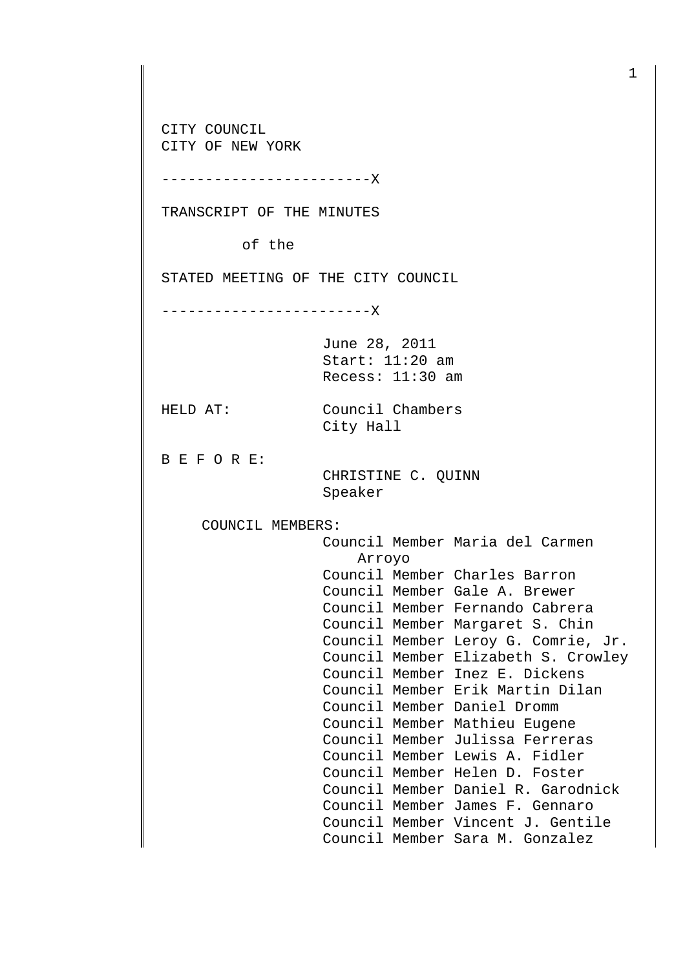CITY COUNCIL CITY OF NEW YORK

------------------------X

TRANSCRIPT OF THE MINUTES

of the

STATED MEETING OF THE CITY COUNCIL

------------------------X

June 28, 2011 Start: 11:20 am Recess: 11:30 am

City Hall

HELD AT: Council Chambers

B E F O R E:

 CHRISTINE C. QUINN Speaker

COUNCIL MEMBERS:

 Council Member Maria del Carmen Arroyo Council Member Charles Barron Council Member Gale A. Brewer Council Member Fernando Cabrera Council Member Margaret S. Chin Council Member Leroy G. Comrie, Jr. Council Member Elizabeth S. Crowley Council Member Inez E. Dickens Council Member Erik Martin Dilan Council Member Daniel Dromm Council Member Mathieu Eugene Council Member Julissa Ferreras Council Member Lewis A. Fidler Council Member Helen D. Foster Council Member Daniel R. Garodnick Council Member James F. Gennaro Council Member Vincent J. Gentile Council Member Sara M. Gonzalez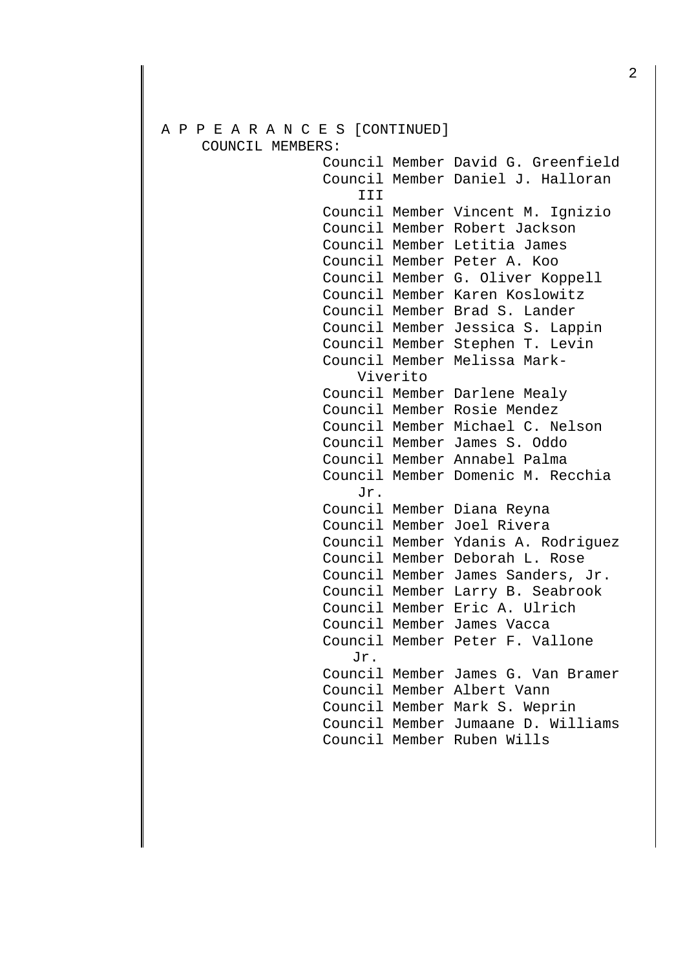## A P P E A R A N C E S [CONTINUED] COUNCIL MEMBERS:

 Council Member David G. Greenfield Council Member Daniel J. Halloran III Council Member Vincent M. Ignizio Council Member Robert Jackson Council Member Letitia James Council Member Peter A. Koo Council Member G. Oliver Koppell Council Member Karen Koslowitz Council Member Brad S. Lander Council Member Jessica S. Lappin Council Member Stephen T. Levin Council Member Melissa Mark- Viverito Council Member Darlene Mealy Council Member Rosie Mendez Council Member Michael C. Nelson Council Member James S. Oddo Council Member Annabel Palma Council Member Domenic M. Recchia Jr. Council Member Diana Reyna Council Member Joel Rivera Council Member Ydanis A. Rodriguez Council Member Deborah L. Rose Council Member James Sanders, Jr. Council Member Larry B. Seabrook Council Member Eric A. Ulrich Council Member James Vacca Council Member Peter F. Vallone Jr. Council Member James G. Van Bramer Council Member Albert Vann Council Member Mark S. Weprin Council Member Jumaane D. Williams Council Member Ruben Wills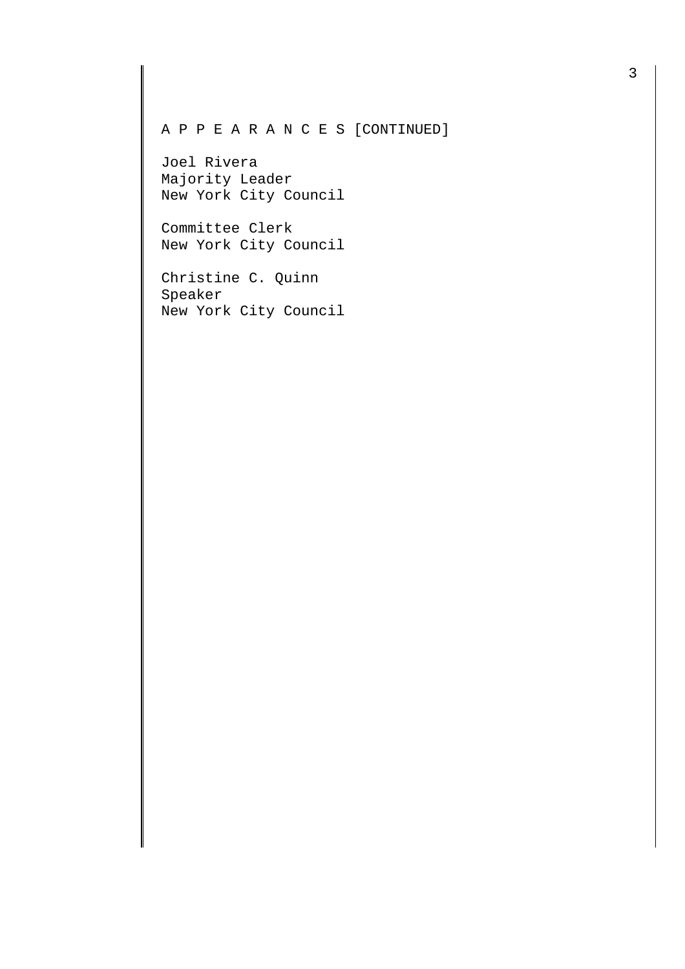## A P P E A R A N C E S [CONTINUED]

Joel Rivera Majority Leader New York City Council

Committee Clerk New York City Council

Christine C. Quinn Speaker New York City Council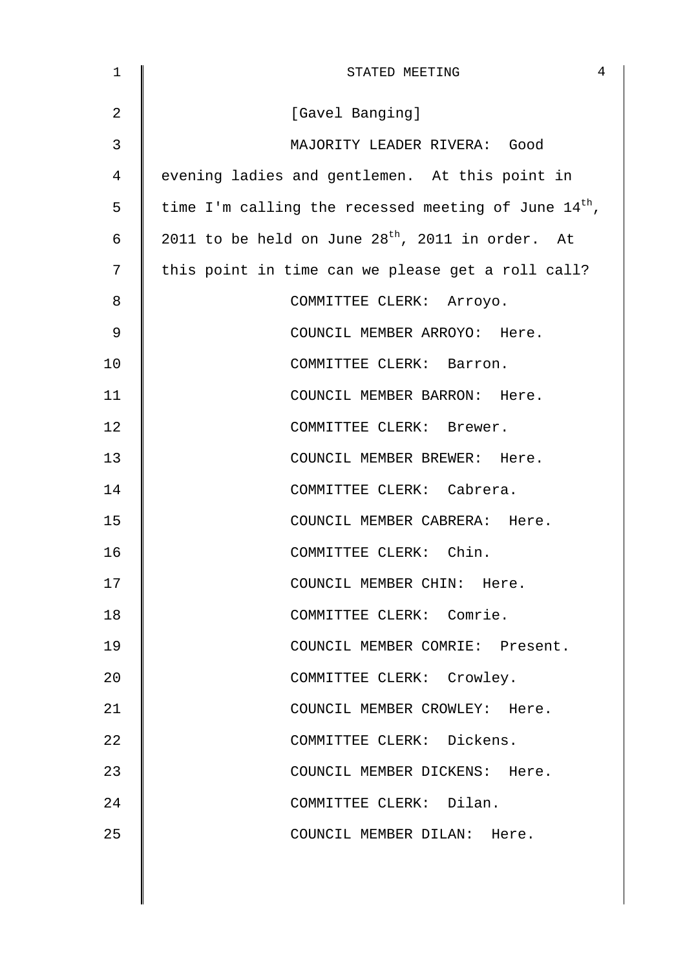| $\mathbf 1$    | $\overline{4}$<br>STATED MEETING                          |
|----------------|-----------------------------------------------------------|
| $\overline{2}$ | [Gavel Banging]                                           |
| 3              | MAJORITY LEADER RIVERA: Good                              |
| 4              | evening ladies and gentlemen. At this point in            |
| 5              | time I'm calling the recessed meeting of June $14^{th}$ , |
| 6              | 2011 to be held on June $28^{th}$ , 2011 in order. At     |
| 7              | this point in time can we please get a roll call?         |
| 8              | COMMITTEE CLERK: Arroyo.                                  |
| 9              | COUNCIL MEMBER ARROYO: Here.                              |
| 10             | COMMITTEE CLERK: Barron.                                  |
| 11             | COUNCIL MEMBER BARRON: Here.                              |
| 12             | COMMITTEE CLERK: Brewer.                                  |
| 13             | COUNCIL MEMBER BREWER: Here.                              |
| 14             | COMMITTEE CLERK: Cabrera.                                 |
| 15             | COUNCIL MEMBER CABRERA: Here.                             |
| 16             | COMMITTEE CLERK: Chin.                                    |
| 17             | COUNCIL MEMBER CHIN: Here.                                |
| 18             | COMMITTEE CLERK: Comrie.                                  |
| 19             | COUNCIL MEMBER COMRIE: Present.                           |
| 20             | COMMITTEE CLERK: Crowley.                                 |
| 21             | COUNCIL MEMBER CROWLEY: Here.                             |
| 22             | COMMITTEE CLERK: Dickens.                                 |
| 23             | COUNCIL MEMBER DICKENS: Here.                             |
| 24             | COMMITTEE CLERK: Dilan.                                   |
| 25             | COUNCIL MEMBER DILAN: Here.                               |
|                |                                                           |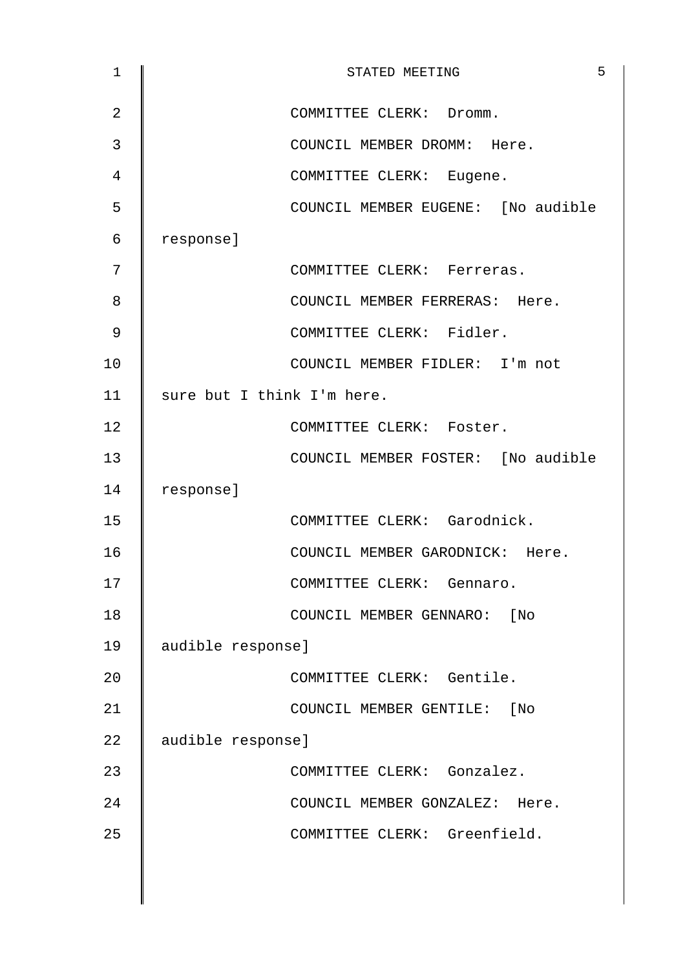| $\mathbf{1}$   | 5<br>STATED MEETING                |
|----------------|------------------------------------|
| $\overline{2}$ | COMMITTEE CLERK: Dromm.            |
| 3              | COUNCIL MEMBER DROMM: Here.        |
| 4              | COMMITTEE CLERK: Eugene.           |
| 5              | COUNCIL MEMBER EUGENE: [No audible |
| 6              | response]                          |
| 7              | COMMITTEE CLERK: Ferreras.         |
| 8              | COUNCIL MEMBER FERRERAS: Here.     |
| 9              | COMMITTEE CLERK: Fidler.           |
| 10             | COUNCIL MEMBER FIDLER: I'm not     |
| 11             | sure but I think I'm here.         |
| 12             | COMMITTEE CLERK: Foster.           |
| 13             | COUNCIL MEMBER FOSTER: [No audible |
| 14             | response]                          |
| 15             | COMMITTEE CLERK: Garodnick.        |
| 16             | COUNCIL MEMBER GARODNICK: Here.    |
| 17             | COMMITTEE CLERK: Gennaro.          |
| 18             | COUNCIL MEMBER GENNARO: [No        |
| 19             | audible response]                  |
| 20             | COMMITTEE CLERK: Gentile.          |
| 21             | COUNCIL MEMBER GENTILE: [No        |
| 22             | audible response]                  |
| 23             | COMMITTEE CLERK: Gonzalez.         |
| 24             | COUNCIL MEMBER GONZALEZ: Here.     |
| 25             | COMMITTEE CLERK: Greenfield.       |
|                |                                    |
|                |                                    |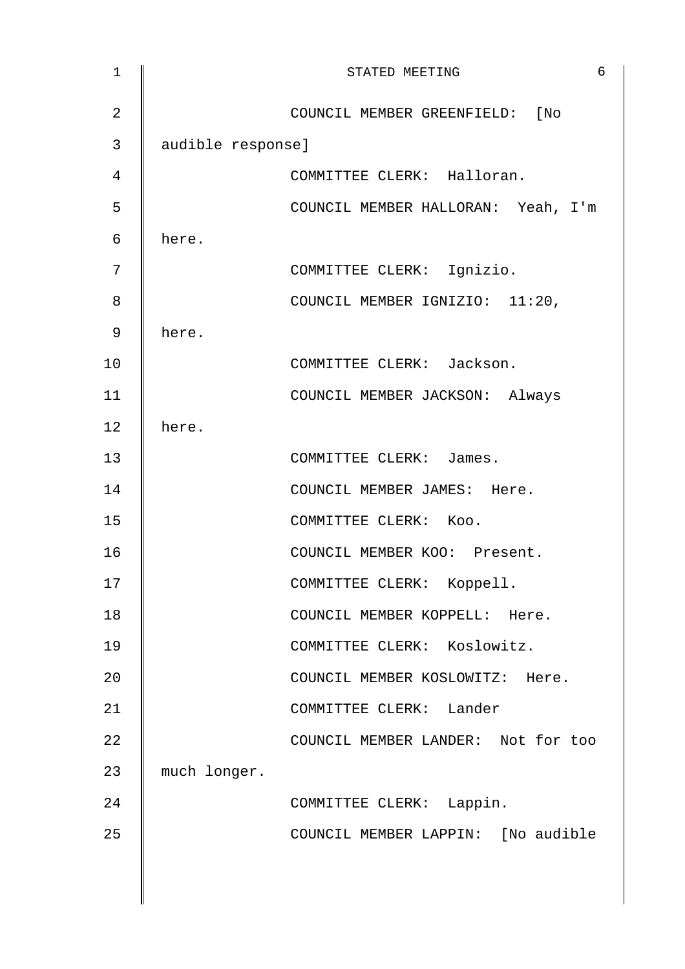| $\mathbf{1}$   |                   | 6<br>STATED MEETING                |
|----------------|-------------------|------------------------------------|
| $\overline{2}$ |                   | COUNCIL MEMBER GREENFIELD: [No     |
| 3              | audible response] |                                    |
| 4              |                   | COMMITTEE CLERK: Halloran.         |
| 5              |                   | COUNCIL MEMBER HALLORAN: Yeah, I'm |
| 6              | here.             |                                    |
| 7              |                   | COMMITTEE CLERK: Ignizio.          |
| 8              |                   | COUNCIL MEMBER IGNIZIO: 11:20,     |
| 9              | here.             |                                    |
| 10             |                   | COMMITTEE CLERK: Jackson.          |
| 11             |                   | COUNCIL MEMBER JACKSON: Always     |
| 12             | here.             |                                    |
| 13             |                   | COMMITTEE CLERK: James.            |
| 14             |                   | COUNCIL MEMBER JAMES: Here.        |
| 15             |                   | COMMITTEE CLERK: Koo.              |
| 16             |                   | COUNCIL MEMBER KOO: Present.       |
| 17             |                   | COMMITTEE CLERK:<br>Koppell.       |
| 18             |                   | COUNCIL MEMBER KOPPELL: Here.      |
| 19             |                   | COMMITTEE CLERK: Koslowitz.        |
| 20             |                   | COUNCIL MEMBER KOSLOWITZ: Here.    |
| 21             |                   | COMMITTEE CLERK: Lander            |
| 22             |                   | COUNCIL MEMBER LANDER: Not for too |
| 23             | much longer.      |                                    |
| 24             |                   | COMMITTEE CLERK: Lappin.           |
| 25             |                   | COUNCIL MEMBER LAPPIN: [No audible |
|                |                   |                                    |
|                |                   |                                    |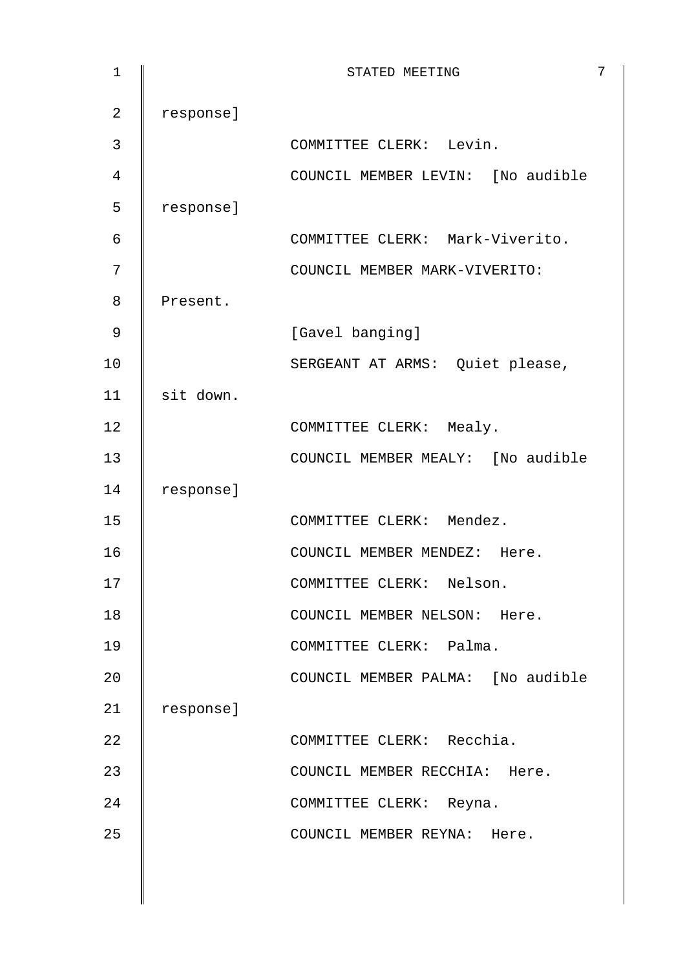| $\mathbf 1$    |           | 7<br>STATED MEETING               |
|----------------|-----------|-----------------------------------|
| $\overline{2}$ | response] |                                   |
| 3              |           | COMMITTEE CLERK: Levin.           |
| 4              |           | COUNCIL MEMBER LEVIN: [No audible |
| 5              | response] |                                   |
| 6              |           | COMMITTEE CLERK: Mark-Viverito.   |
| 7              |           | COUNCIL MEMBER MARK-VIVERITO:     |
| 8              | Present.  |                                   |
| 9              |           | [Gavel banging]                   |
| 10             |           | SERGEANT AT ARMS: Quiet please,   |
| 11             | sit down. |                                   |
| 12             |           | COMMITTEE CLERK: Mealy.           |
| 13             |           | COUNCIL MEMBER MEALY: [No audible |
| 14             | response] |                                   |
| 15             |           | COMMITTEE CLERK: Mendez.          |
| 16             |           | COUNCIL MEMBER MENDEZ: Here.      |
| 17             |           | COMMITTEE CLERK: Nelson.          |
| 18             |           | COUNCIL MEMBER NELSON: Here.      |
| 19             |           | COMMITTEE CLERK: Palma.           |
| 20             |           | COUNCIL MEMBER PALMA: [No audible |
| 21             | response] |                                   |
| 22             |           | COMMITTEE CLERK: Recchia.         |
| 23             |           | COUNCIL MEMBER RECCHIA: Here.     |
| 24             |           | COMMITTEE CLERK: Reyna.           |
| 25             |           | COUNCIL MEMBER REYNA: Here.       |
|                |           |                                   |
|                |           |                                   |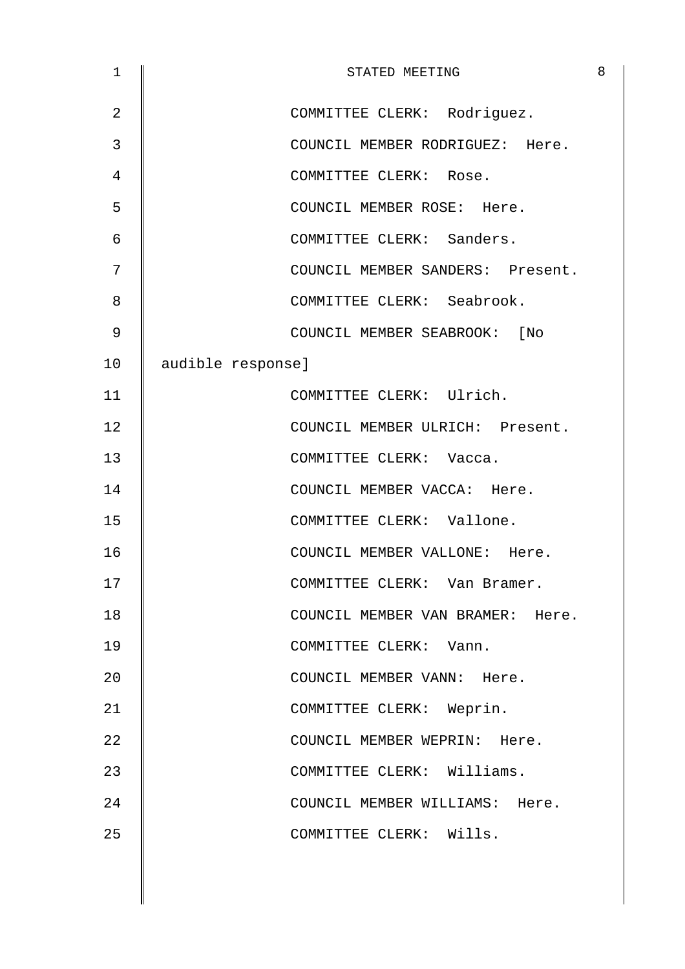| $\mathbf 1$    | STATED MEETING                   | 8 |
|----------------|----------------------------------|---|
| $\overline{2}$ | COMMITTEE CLERK: Rodriguez.      |   |
| 3              | COUNCIL MEMBER RODRIGUEZ: Here.  |   |
| 4              | COMMITTEE CLERK: Rose.           |   |
| 5              | COUNCIL MEMBER ROSE: Here.       |   |
| 6              | COMMITTEE CLERK: Sanders.        |   |
| 7              | COUNCIL MEMBER SANDERS: Present. |   |
| 8              | COMMITTEE CLERK: Seabrook.       |   |
| 9              | COUNCIL MEMBER SEABROOK: [No     |   |
| 10             | audible response]                |   |
| 11             | COMMITTEE CLERK: Ulrich.         |   |
| 12             | COUNCIL MEMBER ULRICH: Present.  |   |
| 13             | COMMITTEE CLERK: Vacca.          |   |
| 14             | COUNCIL MEMBER VACCA: Here.      |   |
| 15             | COMMITTEE CLERK: Vallone.        |   |
| 16             | COUNCIL MEMBER VALLONE: Here.    |   |
| 17             | COMMITTEE CLERK: Van Bramer.     |   |
| 18             | COUNCIL MEMBER VAN BRAMER: Here. |   |
| 19             | COMMITTEE CLERK: Vann.           |   |
| 20             | COUNCIL MEMBER VANN: Here.       |   |
| 21             | COMMITTEE CLERK: Weprin.         |   |
| 22             | COUNCIL MEMBER WEPRIN: Here.     |   |
| 23             | COMMITTEE CLERK: Williams.       |   |
| 24             | COUNCIL MEMBER WILLIAMS: Here.   |   |
| 25             | COMMITTEE CLERK: Wills.          |   |
|                |                                  |   |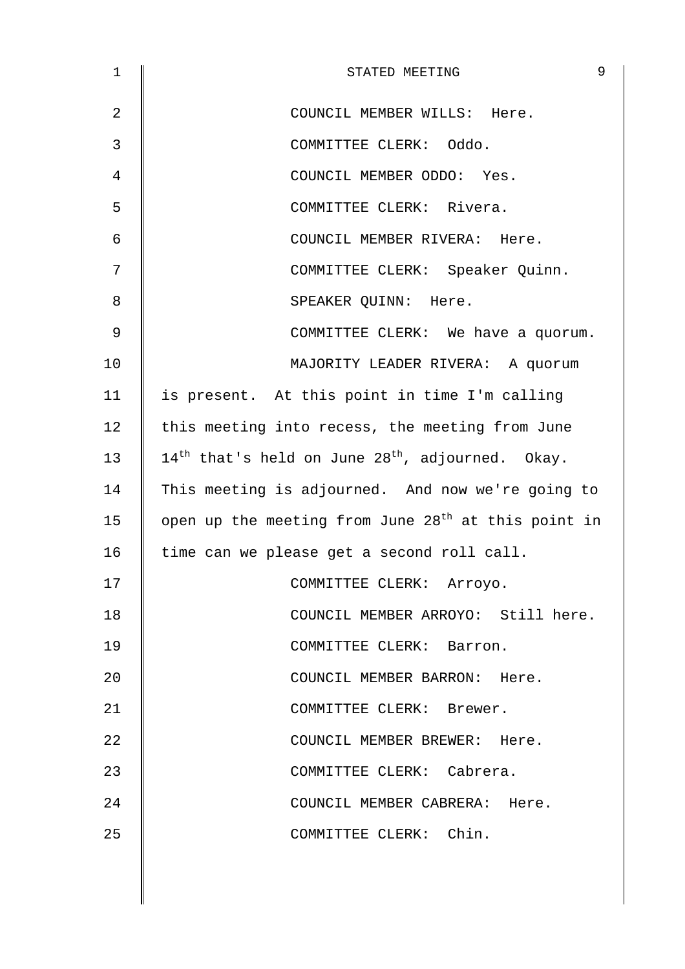| $\mathbf 1$ | 9<br>STATED MEETING                                                      |
|-------------|--------------------------------------------------------------------------|
| 2           | COUNCIL MEMBER WILLS: Here.                                              |
| 3           | COMMITTEE CLERK: Oddo.                                                   |
| 4           | COUNCIL MEMBER ODDO: Yes.                                                |
| 5           | COMMITTEE CLERK: Rivera.                                                 |
| 6           | COUNCIL MEMBER RIVERA: Here.                                             |
| 7           | COMMITTEE CLERK: Speaker Quinn.                                          |
| 8           | SPEAKER QUINN: Here.                                                     |
| 9           | COMMITTEE CLERK: We have a quorum.                                       |
| 10          | MAJORITY LEADER RIVERA: A quorum                                         |
| 11          | is present. At this point in time I'm calling                            |
| 12          | this meeting into recess, the meeting from June                          |
| 13          | $14^{\text{th}}$ that's held on June 28 <sup>th</sup> , adjourned. Okay. |
| 14          | This meeting is adjourned. And now we're going to                        |
| 15          | open up the meeting from June 28 <sup>th</sup> at this point in          |
| 16          | time can we please get a second roll call.                               |
| 17          | COMMITTEE CLERK: Arroyo.                                                 |
| 18          | COUNCIL MEMBER ARROYO: Still here.                                       |
| 19          | COMMITTEE CLERK: Barron.                                                 |
| 20          | COUNCIL MEMBER BARRON: Here.                                             |
| 21          | COMMITTEE CLERK: Brewer.                                                 |
| 22          | COUNCIL MEMBER BREWER: Here.                                             |
| 23          | COMMITTEE CLERK: Cabrera.                                                |
| 24          | COUNCIL MEMBER CABRERA: Here.                                            |
| 25          | COMMITTEE CLERK: Chin.                                                   |
|             |                                                                          |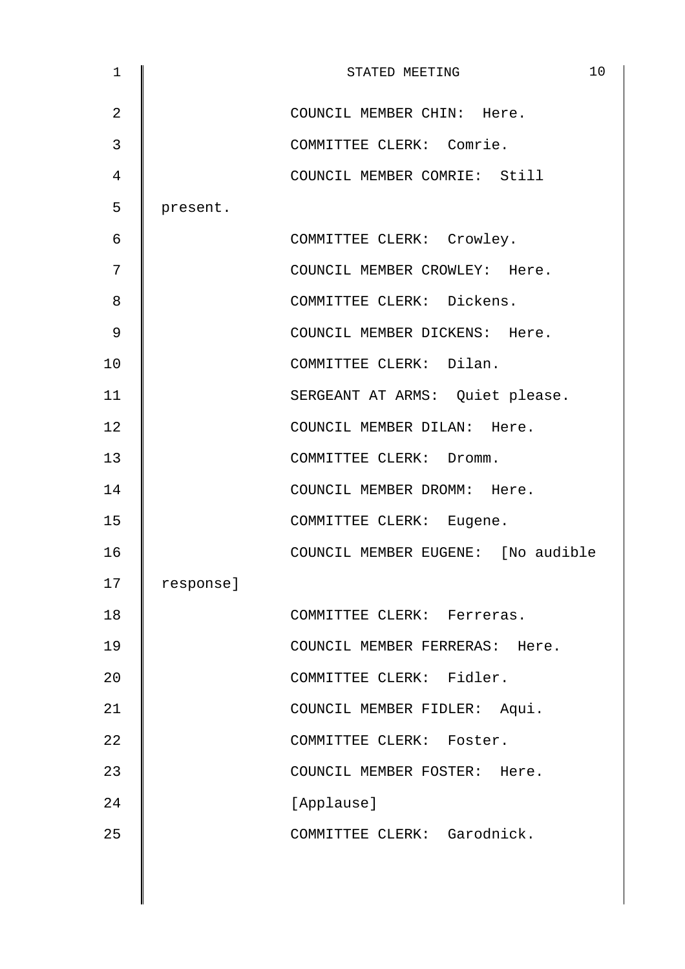| $\mathbf{1}$   |           | 10<br>STATED MEETING               |
|----------------|-----------|------------------------------------|
| $\overline{2}$ |           | COUNCIL MEMBER CHIN: Here.         |
| 3              |           | COMMITTEE CLERK: Comrie.           |
| 4              |           | COUNCIL MEMBER COMRIE: Still       |
| 5              | present.  |                                    |
| 6              |           | COMMITTEE CLERK: Crowley.          |
| 7              |           | COUNCIL MEMBER CROWLEY: Here.      |
| 8              |           | COMMITTEE CLERK: Dickens.          |
| $\mathsf 9$    |           | COUNCIL MEMBER DICKENS: Here.      |
| 10             |           | COMMITTEE CLERK: Dilan.            |
| 11             |           | SERGEANT AT ARMS: Quiet please.    |
| 12             |           | COUNCIL MEMBER DILAN: Here.        |
| 13             |           | COMMITTEE CLERK: Dromm.            |
| 14             |           | COUNCIL MEMBER DROMM: Here.        |
| 15             |           | COMMITTEE CLERK: Eugene.           |
| 16             |           | COUNCIL MEMBER EUGENE: [No audible |
| 17             | response] |                                    |
| 18             |           | COMMITTEE CLERK: Ferreras.         |
| 19             |           | COUNCIL MEMBER FERRERAS: Here.     |
| 20             |           | COMMITTEE CLERK: Fidler.           |
| 21             |           | COUNCIL MEMBER FIDLER: Aqui.       |
| 22             |           | COMMITTEE CLERK: Foster.           |
| 23             |           | COUNCIL MEMBER FOSTER: Here.       |
| 24             |           | [Applause]                         |
| 25             |           | COMMITTEE CLERK: Garodnick.        |
|                |           |                                    |
|                |           |                                    |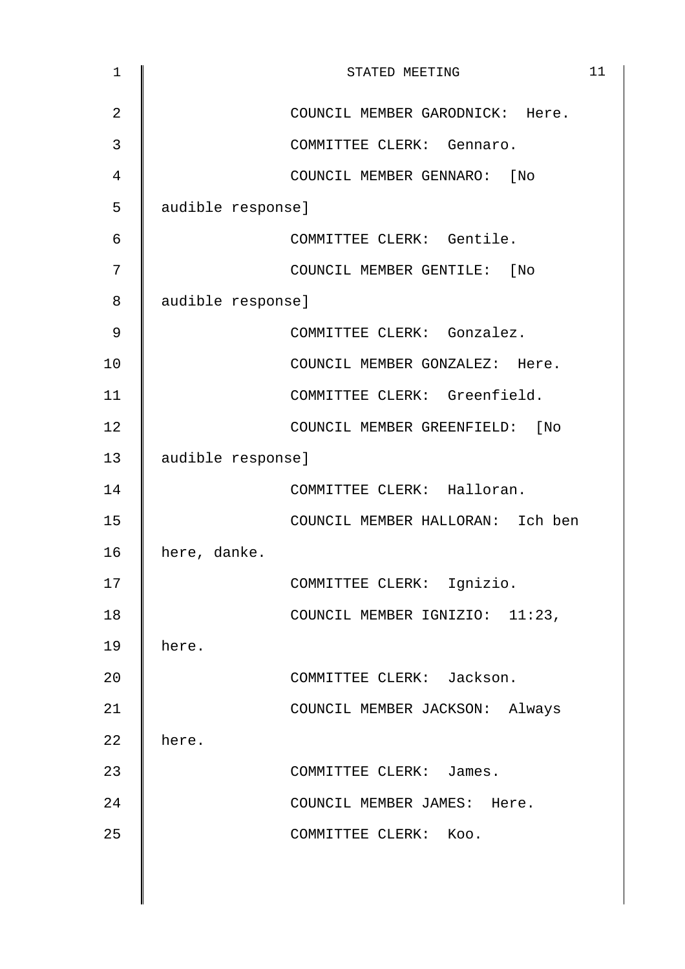| $\mathbf 1$    | 11<br>STATED MEETING             |
|----------------|----------------------------------|
| $\overline{2}$ | COUNCIL MEMBER GARODNICK: Here.  |
| 3              | COMMITTEE CLERK: Gennaro.        |
| 4              | COUNCIL MEMBER GENNARO: [No      |
| 5              | audible response]                |
| 6              | COMMITTEE CLERK: Gentile.        |
| 7              | COUNCIL MEMBER GENTILE: [No      |
| 8              | audible response]                |
| 9              | COMMITTEE CLERK: Gonzalez.       |
| 10             | COUNCIL MEMBER GONZALEZ: Here.   |
| 11             | COMMITTEE CLERK: Greenfield.     |
| 12             | COUNCIL MEMBER GREENFIELD: [No   |
| 13             | audible response]                |
| 14             | COMMITTEE CLERK: Halloran.       |
| 15             | COUNCIL MEMBER HALLORAN: Ich ben |
| 16             | here, danke.                     |
| 17             | COMMITTEE CLERK:<br>Ignizio.     |
| 18             | COUNCIL MEMBER IGNIZIO: 11:23,   |
| 19             | here.                            |
| 20             | COMMITTEE CLERK: Jackson.        |
| 21             | COUNCIL MEMBER JACKSON: Always   |
| 22             | here.                            |
| 23             | COMMITTEE CLERK: James.          |
| 24             | COUNCIL MEMBER JAMES: Here.      |
| 25             | COMMITTEE CLERK: Koo.            |
|                |                                  |
|                |                                  |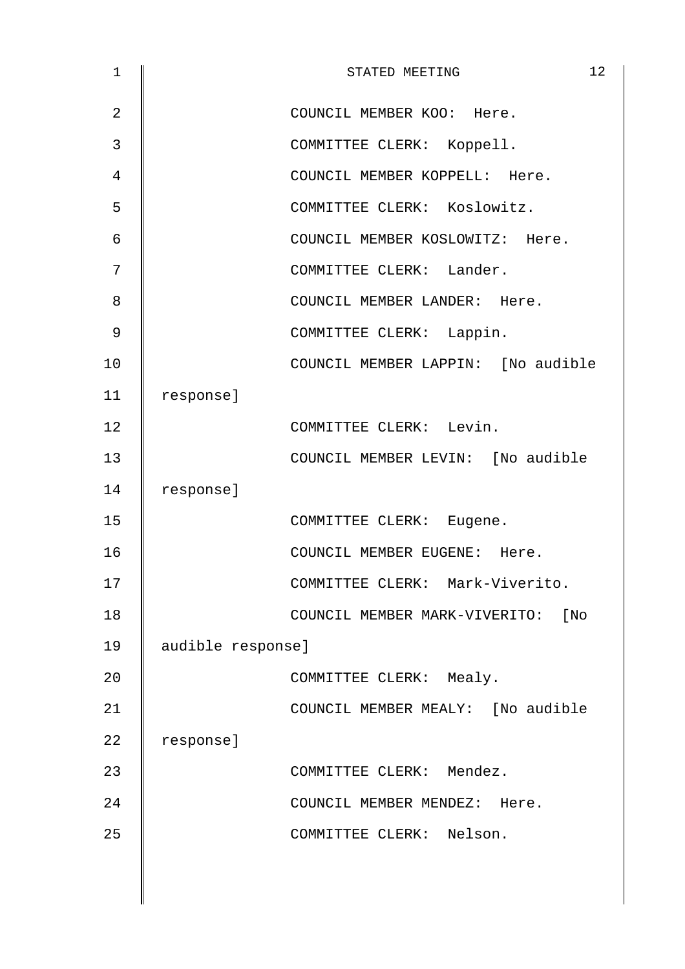| 1  | STATED MEETING                     | 12 |
|----|------------------------------------|----|
| 2  | COUNCIL MEMBER KOO: Here.          |    |
| 3  | COMMITTEE CLERK: Koppell.          |    |
| 4  | COUNCIL MEMBER KOPPELL: Here.      |    |
| 5  | COMMITTEE CLERK: Koslowitz.        |    |
| 6  | COUNCIL MEMBER KOSLOWITZ: Here.    |    |
| 7  | COMMITTEE CLERK: Lander.           |    |
| 8  | COUNCIL MEMBER LANDER: Here.       |    |
| 9  | COMMITTEE CLERK: Lappin.           |    |
| 10 | COUNCIL MEMBER LAPPIN: [No audible |    |
| 11 | response]                          |    |
| 12 | COMMITTEE CLERK: Levin.            |    |
| 13 | COUNCIL MEMBER LEVIN: [No audible  |    |
| 14 | response]                          |    |
| 15 | COMMITTEE CLERK: Eugene.           |    |
| 16 | COUNCIL MEMBER EUGENE: Here.       |    |
| 17 | COMMITTEE CLERK: Mark-Viverito.    |    |
| 18 | COUNCIL MEMBER MARK-VIVERITO: [No  |    |
| 19 | audible response]                  |    |
| 20 | COMMITTEE CLERK: Mealy.            |    |
| 21 | COUNCIL MEMBER MEALY: [No audible  |    |
| 22 | response]                          |    |
| 23 | COMMITTEE CLERK: Mendez.           |    |
| 24 | COUNCIL MEMBER MENDEZ: Here.       |    |
| 25 | COMMITTEE CLERK: Nelson.           |    |
|    |                                    |    |
|    |                                    |    |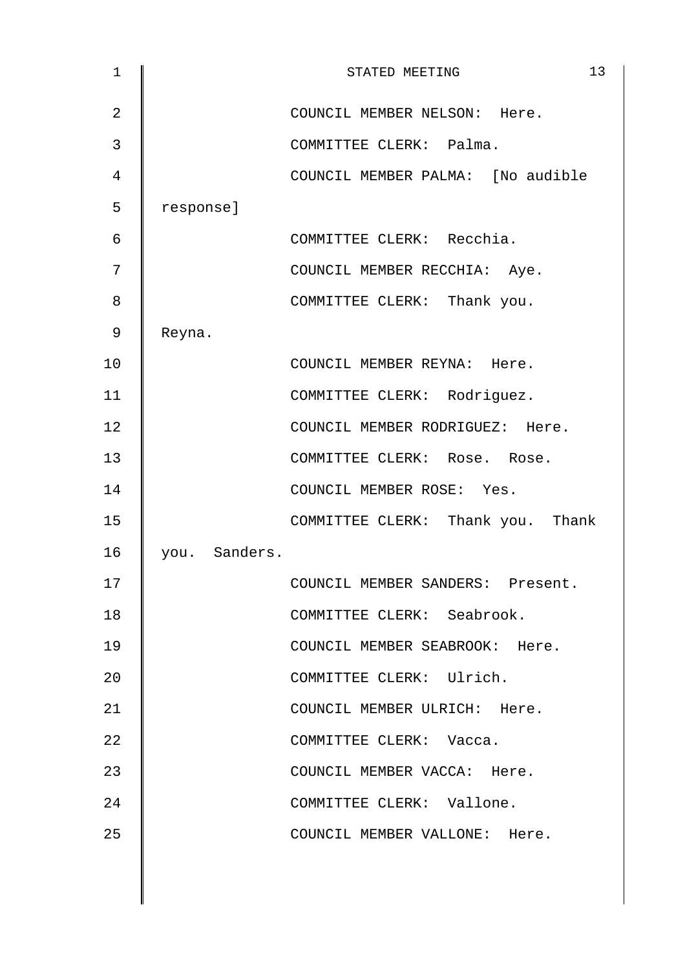| $\mathbf{1}$   |               | 13<br>STATED MEETING              |
|----------------|---------------|-----------------------------------|
| $\overline{2}$ |               | COUNCIL MEMBER NELSON: Here.      |
| 3              |               | COMMITTEE CLERK: Palma.           |
| 4              |               | COUNCIL MEMBER PALMA: [No audible |
| 5              | response]     |                                   |
| 6              |               | COMMITTEE CLERK: Recchia.         |
| 7              |               | COUNCIL MEMBER RECCHIA: Aye.      |
| 8              |               | COMMITTEE CLERK: Thank you.       |
| 9              | Reyna.        |                                   |
| 10             |               | COUNCIL MEMBER REYNA: Here.       |
| 11             |               | COMMITTEE CLERK: Rodriguez.       |
| 12             |               | COUNCIL MEMBER RODRIGUEZ: Here.   |
| 13             |               | COMMITTEE CLERK: Rose. Rose.      |
| 14             |               | COUNCIL MEMBER ROSE: Yes.         |
| 15             |               | COMMITTEE CLERK: Thank you. Thank |
| 16             | you. Sanders. |                                   |
| 17             |               | COUNCIL MEMBER SANDERS: Present.  |
| 18             |               | COMMITTEE CLERK: Seabrook.        |
| 19             |               | COUNCIL MEMBER SEABROOK: Here.    |
| 20             |               | COMMITTEE CLERK: Ulrich.          |
| 21             |               | COUNCIL MEMBER ULRICH: Here.      |
| 22             |               | COMMITTEE CLERK: Vacca.           |
| 23             |               | COUNCIL MEMBER VACCA: Here.       |
| 24             |               | COMMITTEE CLERK: Vallone.         |
| 25             |               | COUNCIL MEMBER VALLONE: Here.     |
|                |               |                                   |
|                |               |                                   |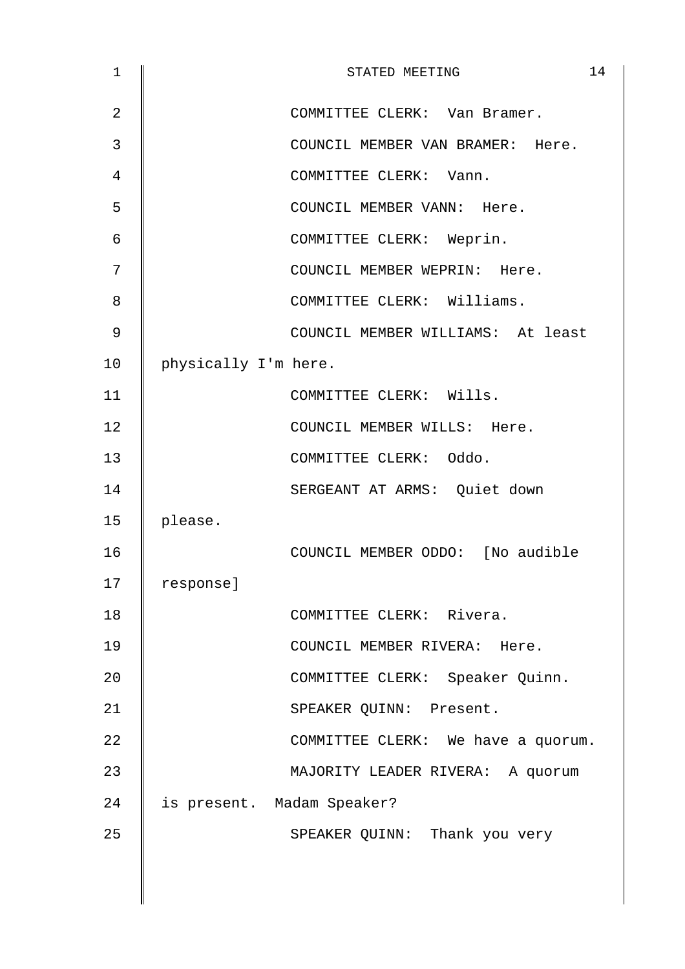| 1              |                            | STATED MEETING                |                                    | 14 |
|----------------|----------------------------|-------------------------------|------------------------------------|----|
| $\overline{2}$ |                            | COMMITTEE CLERK: Van Bramer.  |                                    |    |
| 3              |                            |                               | COUNCIL MEMBER VAN BRAMER: Here.   |    |
| 4              |                            | COMMITTEE CLERK: Vann.        |                                    |    |
| 5              |                            | COUNCIL MEMBER VANN: Here.    |                                    |    |
| 6              |                            | COMMITTEE CLERK: Weprin.      |                                    |    |
| 7              |                            | COUNCIL MEMBER WEPRIN: Here.  |                                    |    |
| 8              |                            | COMMITTEE CLERK: Williams.    |                                    |    |
| 9              |                            |                               | COUNCIL MEMBER WILLIAMS: At least  |    |
| 10             | physically I'm here.       |                               |                                    |    |
| 11             |                            | COMMITTEE CLERK: Wills.       |                                    |    |
| 12             |                            | COUNCIL MEMBER WILLS: Here.   |                                    |    |
| 13             |                            | COMMITTEE CLERK: Oddo.        |                                    |    |
| 14             |                            | SERGEANT AT ARMS: Quiet down  |                                    |    |
| 15             | please.                    |                               |                                    |    |
| 16             |                            |                               | COUNCIL MEMBER ODDO: [No audible   |    |
| 17             | response]                  |                               |                                    |    |
| 18             |                            | COMMITTEE CLERK: Rivera.      |                                    |    |
| 19             |                            | COUNCIL MEMBER RIVERA: Here.  |                                    |    |
| 20             |                            |                               | COMMITTEE CLERK: Speaker Quinn.    |    |
| 21             |                            | SPEAKER QUINN: Present.       |                                    |    |
| 22             |                            |                               | COMMITTEE CLERK: We have a quorum. |    |
| 23             |                            |                               | MAJORITY LEADER RIVERA: A quorum   |    |
| 24             | is present. Madam Speaker? |                               |                                    |    |
| 25             |                            | SPEAKER QUINN: Thank you very |                                    |    |
|                |                            |                               |                                    |    |
|                |                            |                               |                                    |    |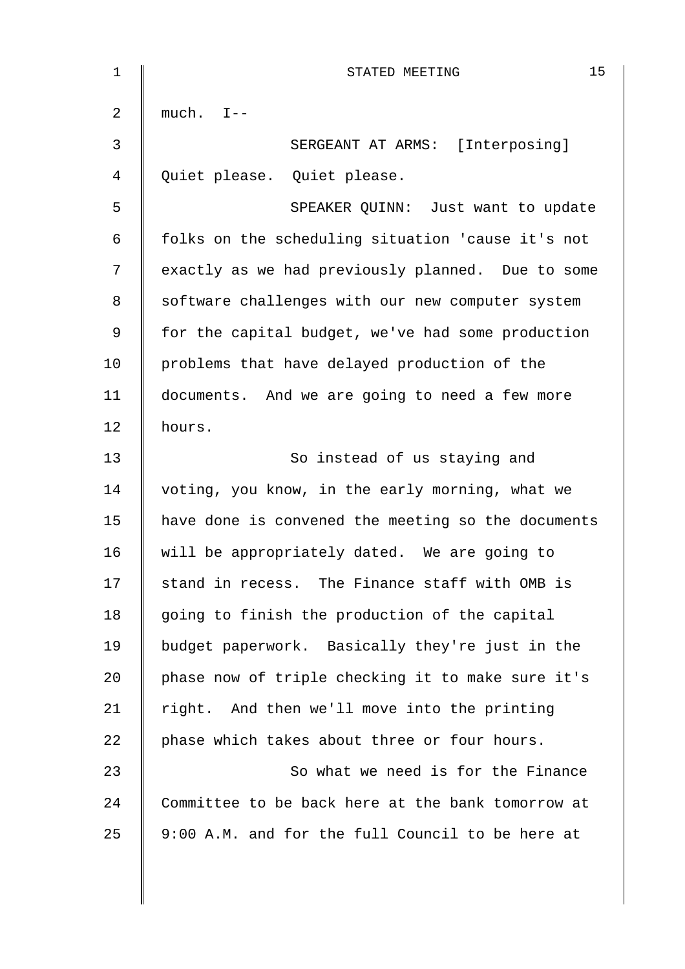| $\mathbf{1}$ | 15<br>STATED MEETING                               |
|--------------|----------------------------------------------------|
| 2            | $much. I--$                                        |
| 3            | SERGEANT AT ARMS: [Interposing]                    |
| 4            | Quiet please. Quiet please.                        |
| 5            | SPEAKER QUINN: Just want to update                 |
| 6            | folks on the scheduling situation 'cause it's not  |
| 7            | exactly as we had previously planned. Due to some  |
| 8            | software challenges with our new computer system   |
| 9            | for the capital budget, we've had some production  |
| 10           | problems that have delayed production of the       |
| 11           | documents. And we are going to need a few more     |
| 12           | hours.                                             |
| 13           | So instead of us staying and                       |
| 14           | voting, you know, in the early morning, what we    |
| 15           | have done is convened the meeting so the documents |
| 16           | will be appropriately dated. We are going to       |
| 17           | stand in recess. The Finance staff with OMB is     |
| 18           | going to finish the production of the capital      |
| 19           | budget paperwork. Basically they're just in the    |
| 20           | phase now of triple checking it to make sure it's  |
| 21           | right. And then we'll move into the printing       |
| 22           | phase which takes about three or four hours.       |
| 23           | So what we need is for the Finance                 |
| 24           | Committee to be back here at the bank tomorrow at  |
| 25           | 9:00 A.M. and for the full Council to be here at   |
|              |                                                    |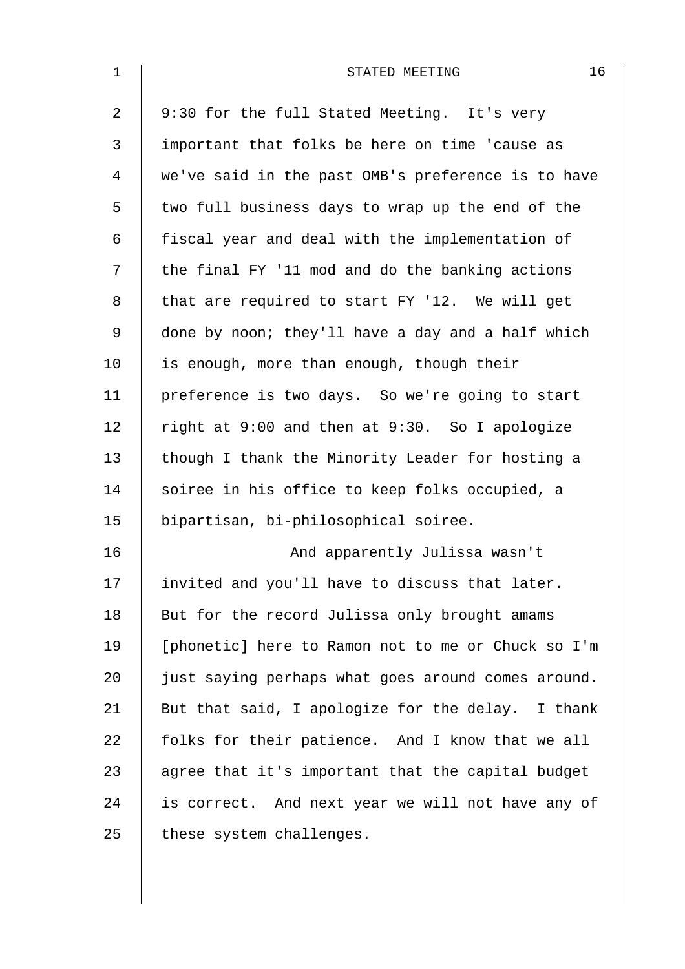| $\mathbf 1$    | 16<br>STATED MEETING                               |
|----------------|----------------------------------------------------|
| $\overline{a}$ | 9:30 for the full Stated Meeting. It's very        |
| $\mathfrak{Z}$ | important that folks be here on time 'cause as     |
| 4              | we've said in the past OMB's preference is to have |
| 5              | two full business days to wrap up the end of the   |
| 6              | fiscal year and deal with the implementation of    |
| 7              | the final FY '11 mod and do the banking actions    |
| 8              | that are required to start FY '12. We will get     |
| 9              | done by noon; they'll have a day and a half which  |
| 10             | is enough, more than enough, though their          |
| 11             | preference is two days. So we're going to start    |
| 12             | right at 9:00 and then at 9:30. So I apologize     |
| 13             | though I thank the Minority Leader for hosting a   |
| 14             | soiree in his office to keep folks occupied, a     |
| 15             | bipartisan, bi-philosophical soiree.               |
| 16             | And apparently Julissa wasn't                      |
| 17             | invited and you'll have to discuss that later.     |
| 18             | But for the record Julissa only brought amams      |
| 19             | [phonetic] here to Ramon not to me or Chuck so I'm |
| 20             | just saying perhaps what goes around comes around. |
| 21             | But that said, I apologize for the delay. I thank  |
| 22             | folks for their patience. And I know that we all   |
| 23             | agree that it's important that the capital budget  |
| 24             | is correct. And next year we will not have any of  |
| 25             | these system challenges.                           |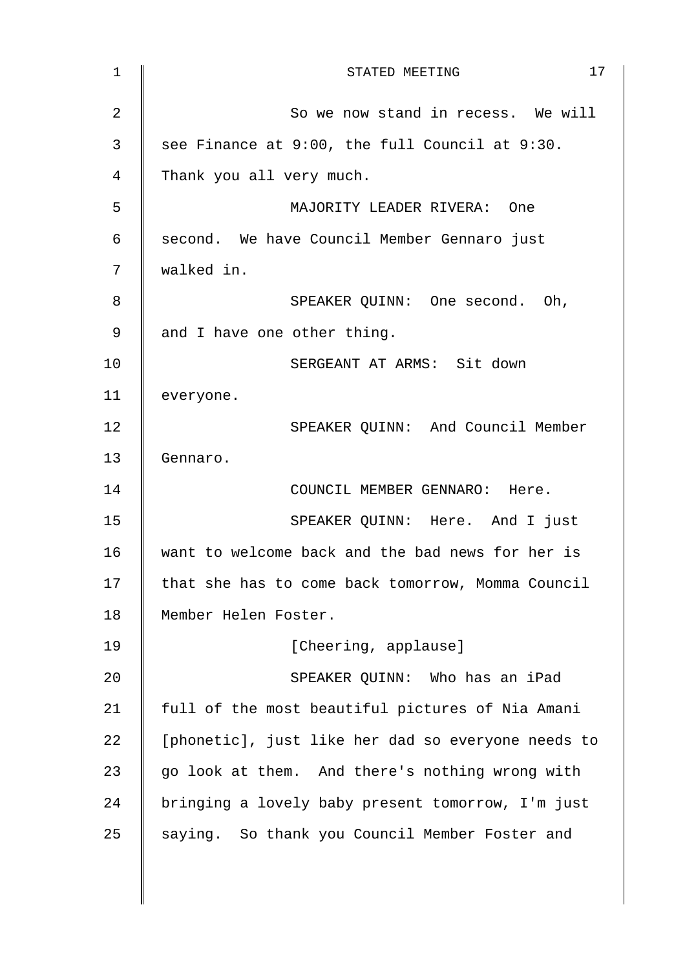| 17<br>STATED MEETING                               |
|----------------------------------------------------|
| So we now stand in recess. We will                 |
| see Finance at 9:00, the full Council at 9:30.     |
| Thank you all very much.                           |
| MAJORITY LEADER RIVERA: One                        |
| second. We have Council Member Gennaro just        |
| walked in.                                         |
| SPEAKER QUINN: One second. Oh,                     |
| and I have one other thing.                        |
| SERGEANT AT ARMS: Sit down                         |
| everyone.                                          |
| SPEAKER QUINN: And Council Member                  |
| Gennaro.                                           |
| COUNCIL MEMBER GENNARO: Here.                      |
| SPEAKER QUINN: Here. And I just                    |
| want to welcome back and the bad news for her is   |
| that she has to come back tomorrow, Momma Council  |
| Member Helen Foster.                               |
| [Cheering, applause]                               |
| SPEAKER QUINN: Who has an iPad                     |
| full of the most beautiful pictures of Nia Amani   |
| [phonetic], just like her dad so everyone needs to |
| go look at them. And there's nothing wrong with    |
| bringing a lovely baby present tomorrow, I'm just  |
| saying. So thank you Council Member Foster and     |
|                                                    |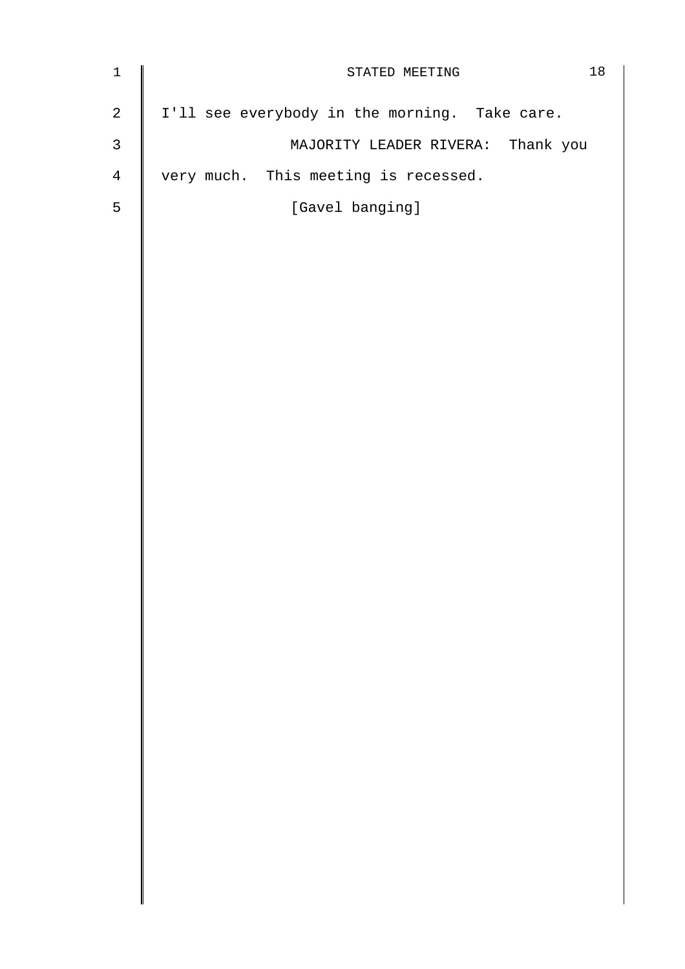| $\mathbf 1$    | 18<br>STATED MEETING                          |
|----------------|-----------------------------------------------|
| $\overline{a}$ | I'll see everybody in the morning. Take care. |
| $\mathfrak{Z}$ | MAJORITY LEADER RIVERA: Thank you             |
| 4              | very much. This meeting is recessed.          |
| 5              | [Gavel banging]                               |
|                |                                               |
|                |                                               |
|                |                                               |
|                |                                               |
|                |                                               |
|                |                                               |
|                |                                               |
|                |                                               |
|                |                                               |
|                |                                               |
|                |                                               |
|                |                                               |
|                |                                               |
|                |                                               |
|                |                                               |
|                |                                               |
|                |                                               |
|                |                                               |
|                |                                               |
|                |                                               |
|                |                                               |